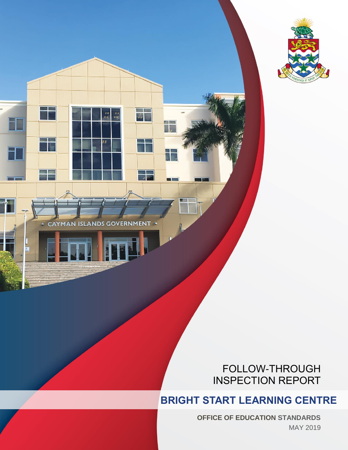

CAYMAN ISLANDS **ERNMENT** GOV

 $\overline{u}$ 

自言

### FOLLOW-THROUGH INSPECTION REPORT

## **BRIGHT START LEARNING CENTRE**

**OFFICE OF EDUCATION STANDARDS** MAY 2019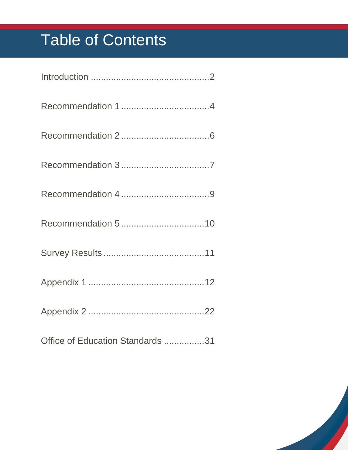# Table of Contents

| Office of Education Standards 31 |
|----------------------------------|

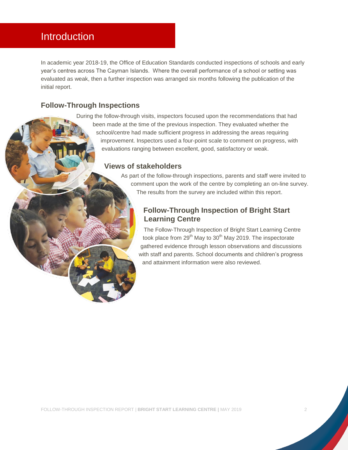### <span id="page-2-0"></span>Introduction

In academic year 2018-19, the Office of Education Standards conducted inspections of schools and early year's centres across The Cayman Islands. Where the overall performance of a school or setting was evaluated as weak, then a further inspection was arranged six months following the publication of the initial report.

#### **Follow-Through Inspections**

During the follow-through visits, inspectors focused upon the recommendations that had been made at the time of the previous inspection. They evaluated whether the school/centre had made sufficient progress in addressing the areas requiring improvement. Inspectors used a four-point scale to comment on progress, with evaluations ranging between excellent, good, satisfactory or weak.

#### **Views of stakeholders**

As part of the follow-through inspections, parents and staff were invited to comment upon the work of the centre by completing an on-line survey. The results from the survey are included within this report.

#### **Follow-Through Inspection of Bright Start Learning Centre**

The Follow-Through Inspection of Bright Start Learning Centre took place from  $29<sup>th</sup>$  May to  $30<sup>th</sup>$  May 2019. The inspectorate gathered evidence through lesson observations and discussions with staff and parents. School documents and children's progress and attainment information were also reviewed.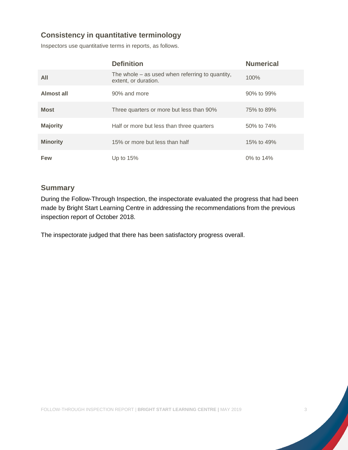### **Consistency in quantitative terminology**

Inspectors use quantitative terms in reports, as follows.

|                 | <b>Definition</b>                                                         | <b>Numerical</b> |
|-----------------|---------------------------------------------------------------------------|------------------|
| All             | The whole $-$ as used when referring to quantity,<br>extent, or duration. | 100%             |
| Almost all      | 90% and more                                                              | 90% to 99%       |
| <b>Most</b>     | Three quarters or more but less than 90%                                  | 75% to 89%       |
| <b>Majority</b> | Half or more but less than three quarters                                 | 50% to 74%       |
| <b>Minority</b> | 15% or more but less than half                                            | 15% to 49%       |
| Few             | Up to $15%$                                                               | 0% to 14%        |

#### **Summary**

During the Follow-Through Inspection, the inspectorate evaluated the progress that had been made by Bright Start Learning Centre in addressing the recommendations from the previous inspection report of October 2018.

The inspectorate judged that there has been satisfactory progress overall.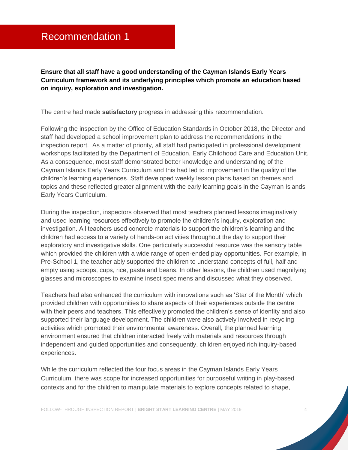### <span id="page-4-0"></span>Recommendation 1

**Ensure that all staff have a good understanding of the Cayman Islands Early Years Curriculum framework and its underlying principles which promote an education based on inquiry, exploration and investigation.**

The centre had made **satisfactory** progress in addressing this recommendation.

Following the inspection by the Office of Education Standards in October 2018, the Director and staff had developed a school improvement plan to address the recommendations in the inspection report. As a matter of priority, all staff had participated in professional development workshops facilitated by the Department of Education, Early Childhood Care and Education Unit. As a consequence, most staff demonstrated better knowledge and understanding of the Cayman Islands Early Years Curriculum and this had led to improvement in the quality of the children's learning experiences. Staff developed weekly lesson plans based on themes and topics and these reflected greater alignment with the early learning goals in the Cayman Islands Early Years Curriculum.

During the inspection, inspectors observed that most teachers planned lessons imaginatively and used learning resources effectively to promote the children's inquiry, exploration and investigation. All teachers used concrete materials to support the children's learning and the children had access to a variety of hands-on activities throughout the day to support their exploratory and investigative skills. One particularly successful resource was the sensory table which provided the children with a wide range of open-ended play opportunities. For example, in Pre-School 1, the teacher ably supported the children to understand concepts of full, half and empty using scoops, cups, rice, pasta and beans. In other lessons, the children used magnifying glasses and microscopes to examine insect specimens and discussed what they observed.

Teachers had also enhanced the curriculum with innovations such as 'Star of the Month' which provided children with opportunities to share aspects of their experiences outside the centre with their peers and teachers. This effectively promoted the children's sense of identity and also supported their language development. The children were also actively involved in recycling activities which promoted their environmental awareness. Overall, the planned learning environment ensured that children interacted freely with materials and resources through independent and guided opportunities and consequently, children enjoyed rich inquiry-based experiences.

While the curriculum reflected the four focus areas in the Cayman Islands Early Years Curriculum, there was scope for increased opportunities for purposeful writing in play-based contexts and for the children to manipulate materials to explore concepts related to shape,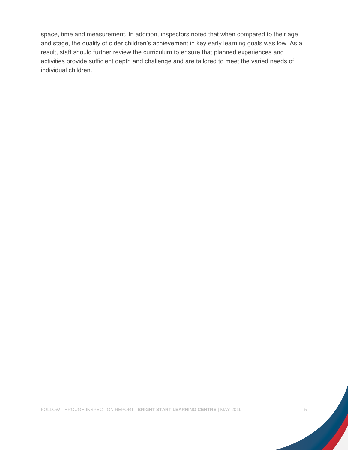space, time and measurement. In addition, inspectors noted that when compared to their age and stage, the quality of older children's achievement in key early learning goals was low. As a result, staff should further review the curriculum to ensure that planned experiences and activities provide sufficient depth and challenge and are tailored to meet the varied needs of individual children.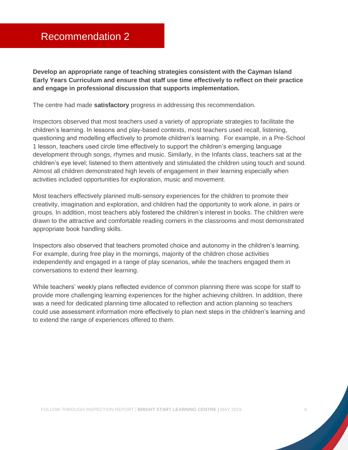<span id="page-6-0"></span>**Develop an appropriate range of teaching strategies consistent with the Cayman Island Early Years Curriculum and ensure that staff use time effectively to reflect on their practice and engage in professional discussion that supports implementation.**

The centre had made **satisfactory** progress in addressing this recommendation.

Inspectors observed that most teachers used a variety of appropriate strategies to facilitate the children's learning. In lessons and play-based contexts, most teachers used recall, listening, questioning and modelling effectively to promote children's learning. For example, in a Pre-School 1 lesson, teachers used circle time effectively to support the children's emerging language development through songs, rhymes and music. Similarly, in the Infants class, teachers sat at the children's eye level; listened to them attentively and stimulated the children using touch and sound. Almost all children demonstrated high levels of engagement in their learning especially when activities included opportunities for exploration, music and movement.

Most teachers effectively planned multi-sensory experiences for the children to promote their creativity, imagination and exploration, and children had the opportunity to work alone, in pairs or groups. In addition, most teachers ably fostered the children's interest in books. The children were drawn to the attractive and comfortable reading corners in the classrooms and most demonstrated appropriate book handling skills.

Inspectors also observed that teachers promoted choice and autonomy in the children's learning. For example, during free play in the mornings, majority of the children chose activities independently and engaged in a range of play scenarios, while the teachers engaged them in conversations to extend their learning.

While teachers' weekly plans reflected evidence of common planning there was scope for staff to provide more challenging learning experiences for the higher achieving children. In addition, there was a need for dedicated planning time allocated to reflection and action planning so teachers could use assessment information more effectively to plan next steps in the children's learning and to extend the range of experiences offered to them.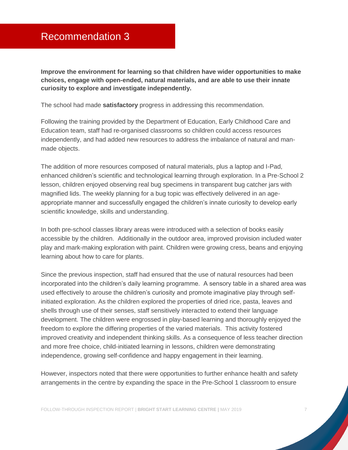### <span id="page-7-0"></span>Recommendation 3

**Improve the environment for learning so that children have wider opportunities to make choices, engage with open-ended, natural materials, and are able to use their innate curiosity to explore and investigate independently.**

The school had made **satisfactory** progress in addressing this recommendation.

Following the training provided by the Department of Education, Early Childhood Care and Education team, staff had re-organised classrooms so children could access resources independently, and had added new resources to address the imbalance of natural and manmade objects.

The addition of more resources composed of natural materials, plus a laptop and I-Pad, enhanced children's scientific and technological learning through exploration. In a Pre-School 2 lesson, children enjoyed observing real bug specimens in transparent bug catcher jars with magnified lids. The weekly planning for a bug topic was effectively delivered in an ageappropriate manner and successfully engaged the children's innate curiosity to develop early scientific knowledge, skills and understanding.

In both pre-school classes library areas were introduced with a selection of books easily accessible by the children. Additionally in the outdoor area, improved provision included water play and mark-making exploration with paint. Children were growing cress, beans and enjoying learning about how to care for plants.

Since the previous inspection, staff had ensured that the use of natural resources had been incorporated into the children's daily learning programme. A sensory table in a shared area was used effectively to arouse the children's curiosity and promote imaginative play through selfinitiated exploration. As the children explored the properties of dried rice, pasta, leaves and shells through use of their senses, staff sensitively interacted to extend their language development. The children were engrossed in play-based learning and thoroughly enjoyed the freedom to explore the differing properties of the varied materials. This activity fostered improved creativity and independent thinking skills. As a consequence of less teacher direction and more free choice, child-initiated learning in lessons, children were demonstrating independence, growing self-confidence and happy engagement in their learning.

However, inspectors noted that there were opportunities to further enhance health and safety arrangements in the centre by expanding the space in the Pre-School 1 classroom to ensure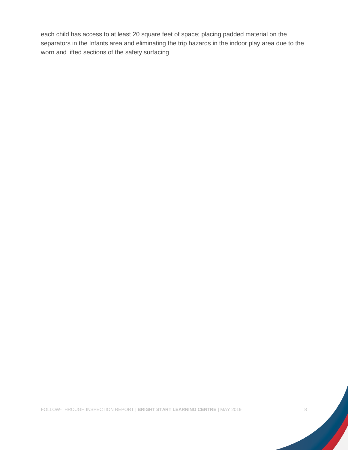each child has access to at least 20 square feet of space; placing padded material on the separators in the Infants area and eliminating the trip hazards in the indoor play area due to the worn and lifted sections of the safety surfacing.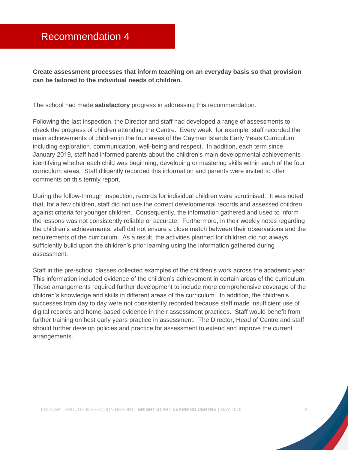### <span id="page-9-0"></span>Recommendation 4

**Create assessment processes that inform teaching on an everyday basis so that provision can be tailored to the individual needs of children.** 

The school had made **satisfactory** progress in addressing this recommendation.

Following the last inspection, the Director and staff had developed a range of assessments to check the progress of children attending the Centre. Every week, for example, staff recorded the main achievements of children in the four areas of the Cayman Islands Early Years Curriculum including exploration, communication, well-being and respect. In addition, each term since January 2019, staff had informed parents about the children's main developmental achievements identifying whether each child was beginning, developing or mastering skills within each of the four curriculum areas. Staff diligently recorded this information and parents were invited to offer comments on this termly report.

During the follow-through inspection, records for individual children were scrutinised. It was noted that, for a few children, staff did not use the correct developmental records and assessed children against criteria for younger children. Consequently, the information gathered and used to inform the lessons was not consistently reliable or accurate. Furthermore, in their weekly notes regarding the children's achievements, staff did not ensure a close match between their observations and the requirements of the curriculum. As a result, the activities planned for children did not always sufficiently build upon the children's prior learning using the information gathered during assessment.

Staff in the pre-school classes collected examples of the children's work across the academic year. This information included evidence of the children's achievement in certain areas of the curriculum. These arrangements required further development to include more comprehensive coverage of the children's knowledge and skills in different areas of the curriculum. In addition, the children's successes from day to day were not consistently recorded because staff made insufficient use of digital records and home-based evidence in their assessment practices. Staff would benefit from further training on best early years practice in assessment. The Director, Head of Centre and staff should further develop policies and practice for assessment to extend and improve the current arrangements.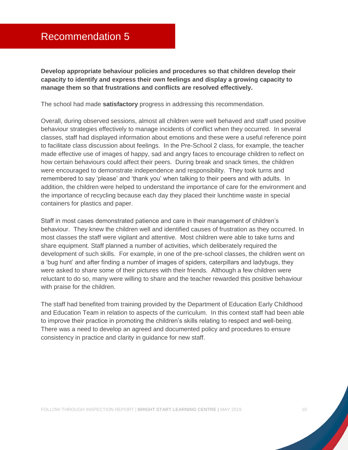<span id="page-10-0"></span>**Develop appropriate behaviour policies and procedures so that children develop their capacity to identify and express their own feelings and display a growing capacity to manage them so that frustrations and conflicts are resolved effectively.**

The school had made **satisfactory** progress in addressing this recommendation.

Overall, during observed sessions, almost all children were well behaved and staff used positive behaviour strategies effectively to manage incidents of conflict when they occurred. In several classes, staff had displayed information about emotions and these were a useful reference point to facilitate class discussion about feelings. In the Pre-School 2 class, for example, the teacher made effective use of images of happy, sad and angry faces to encourage children to reflect on how certain behaviours could affect their peers. During break and snack times, the children were encouraged to demonstrate independence and responsibility. They took turns and remembered to say 'please' and 'thank you' when talking to their peers and with adults. In addition, the children were helped to understand the importance of care for the environment and the importance of recycling because each day they placed their lunchtime waste in special containers for plastics and paper.

Staff in most cases demonstrated patience and care in their management of children's behaviour. They knew the children well and identified causes of frustration as they occurred. In most classes the staff were vigilant and attentive. Most children were able to take turns and share equipment. Staff planned a number of activities, which deliberately required the development of such skills. For example, in one of the pre-school classes, the children went on a 'bug hunt' and after finding a number of images of spiders, caterpillars and ladybugs, they were asked to share some of their pictures with their friends. Although a few children were reluctant to do so, many were willing to share and the teacher rewarded this positive behaviour with praise for the children.

The staff had benefited from training provided by the Department of Education Early Childhood and Education Team in relation to aspects of the curriculum. In this context staff had been able to improve their practice in promoting the children's skills relating to respect and well-being. There was a need to develop an agreed and documented policy and procedures to ensure consistency in practice and clarity in guidance for new staff.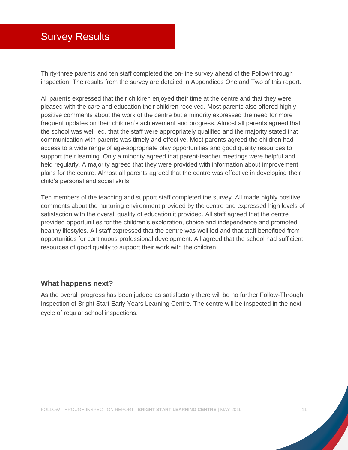### <span id="page-11-0"></span>Survey Results

Thirty-three parents and ten staff completed the on-line survey ahead of the Follow-through inspection. The results from the survey are detailed in Appendices One and Two of this report.

All parents expressed that their children enjoyed their time at the centre and that they were pleased with the care and education their children received. Most parents also offered highly positive comments about the work of the centre but a minority expressed the need for more frequent updates on their children's achievement and progress. Almost all parents agreed that the school was well led, that the staff were appropriately qualified and the majority stated that communication with parents was timely and effective. Most parents agreed the children had access to a wide range of age-appropriate play opportunities and good quality resources to support their learning. Only a minority agreed that parent-teacher meetings were helpful and held regularly. A majority agreed that they were provided with information about improvement plans for the centre. Almost all parents agreed that the centre was effective in developing their child's personal and social skills.

Ten members of the teaching and support staff completed the survey. All made highly positive comments about the nurturing environment provided by the centre and expressed high levels of satisfaction with the overall quality of education it provided. All staff agreed that the centre provided opportunities for the children's exploration, choice and independence and promoted healthy lifestyles. All staff expressed that the centre was well led and that staff benefitted from opportunities for continuous professional development. All agreed that the school had sufficient resources of good quality to support their work with the children.

#### **What happens next?**

As the overall progress has been judged as satisfactory there will be no further Follow-Through Inspection of Bright Start Early Years Learning Centre. The centre will be inspected in the next cycle of regular school inspections.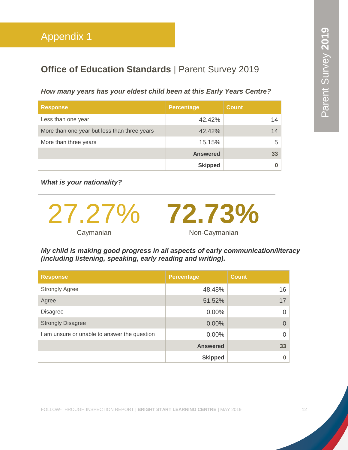### <span id="page-12-0"></span>**Office of Education Standards | Parent Survey 2019**

#### *How many years has your eldest child been at this Early Years Centre?*

| <b>Response</b>                              | <b>Percentage</b> | <b>Count</b>    |
|----------------------------------------------|-------------------|-----------------|
| Less than one year                           | 42.42%            | 14              |
| More than one year but less than three years | 42.42%            | 14 <sup>1</sup> |
| More than three years                        | 15.15%            | 5               |
|                                              | <b>Answered</b>   | 33 <sup>°</sup> |
|                                              | <b>Skipped</b>    |                 |

*What is your nationality?*



*My child is making good progress in all aspects of early communication/literacy (including listening, speaking, early reading and writing).*

| <b>Response</b>                              | <b>Percentage</b> | <b>Count</b> |
|----------------------------------------------|-------------------|--------------|
| <b>Strongly Agree</b>                        | 48.48%            | 16           |
| Agree                                        | 51.52%            | 17           |
| <b>Disagree</b>                              | $0.00\%$          | 0            |
| <b>Strongly Disagree</b>                     | $0.00\%$          | $\Omega$     |
| I am unsure or unable to answer the question | 0.00%             | $\Omega$     |
|                                              | <b>Answered</b>   | 33           |
|                                              | <b>Skipped</b>    | 0            |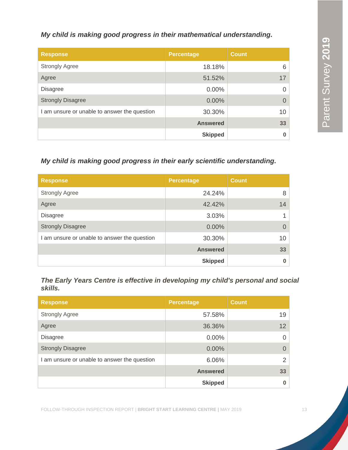#### *My child is making good progress in their mathematical understanding.*

| <b>Response</b>                              | <b>Percentage</b> | <b>Count</b> |
|----------------------------------------------|-------------------|--------------|
| <b>Strongly Agree</b>                        | 18.18%            | 6            |
| Agree                                        | 51.52%            | 17           |
| <b>Disagree</b>                              | $0.00\%$          |              |
| <b>Strongly Disagree</b>                     | 0.00%             | $\Omega$     |
| I am unsure or unable to answer the question | 30.30%            | 10           |
|                                              | <b>Answered</b>   | 33           |
|                                              | <b>Skipped</b>    |              |

#### *My child is making good progress in their early scientific understanding.*

| <b>Response</b>                              | <b>Percentage</b> | <b>Count</b> |
|----------------------------------------------|-------------------|--------------|
| <b>Strongly Agree</b>                        | 24.24%            | 8            |
| Agree                                        | 42.42%            | 14           |
| <b>Disagree</b>                              | 3.03%             |              |
| <b>Strongly Disagree</b>                     | $0.00\%$          |              |
| I am unsure or unable to answer the question | 30.30%            | 10           |
|                                              | <b>Answered</b>   | 33           |
|                                              | <b>Skipped</b>    |              |

*The Early Years Centre is effective in developing my child's personal and social skills.*

| <b>Response</b>                              | <b>Percentage</b> | <b>Count</b>    |
|----------------------------------------------|-------------------|-----------------|
| <b>Strongly Agree</b>                        | 57.58%            | 19              |
| Agree                                        | 36.36%            | 12 <sup>2</sup> |
| <b>Disagree</b>                              | 0.00%             | 0               |
| <b>Strongly Disagree</b>                     | $0.00\%$          |                 |
| I am unsure or unable to answer the question | 6.06%             | 2               |
|                                              | <b>Answered</b>   | 33              |
|                                              | <b>Skipped</b>    |                 |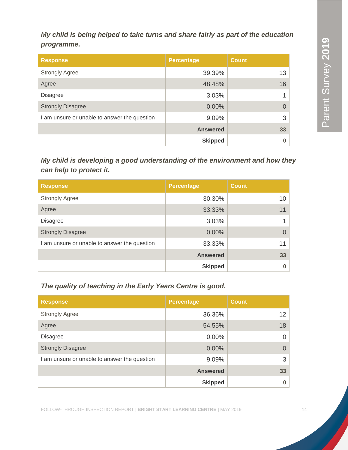*My child is being helped to take turns and share fairly as part of the education programme.*

| <b>Response</b>                              | <b>Percentage</b> | <b>Count</b> |
|----------------------------------------------|-------------------|--------------|
| <b>Strongly Agree</b>                        | 39.39%            | 13           |
| Agree                                        | 48.48%            | 16           |
| <b>Disagree</b>                              | 3.03%             |              |
| <b>Strongly Disagree</b>                     | 0.00%             |              |
| I am unsure or unable to answer the question | 9.09%             | 3            |
|                                              | <b>Answered</b>   | 33           |
|                                              | <b>Skipped</b>    |              |

*My child is developing a good understanding of the environment and how they can help to protect it.*

| <b>Response</b>                              | <b>Percentage</b> | <b>Count</b> |
|----------------------------------------------|-------------------|--------------|
| <b>Strongly Agree</b>                        | 30.30%            | 10           |
| Agree                                        | 33.33%            | 11           |
| <b>Disagree</b>                              | 3.03%             |              |
| <b>Strongly Disagree</b>                     | 0.00%             | 0            |
| I am unsure or unable to answer the question | 33.33%            | 11           |
|                                              | <b>Answered</b>   | 33           |
|                                              | <b>Skipped</b>    |              |

*The quality of teaching in the Early Years Centre is good.*

| <b>Response</b>                              | <b>Percentage</b> | <b>Count</b>      |
|----------------------------------------------|-------------------|-------------------|
| <b>Strongly Agree</b>                        | 36.36%            | $12 \overline{ }$ |
| Agree                                        | 54.55%            | 18                |
| <b>Disagree</b>                              | $0.00\%$          | $\Omega$          |
| <b>Strongly Disagree</b>                     | 0.00%             | $\Omega$          |
| I am unsure or unable to answer the question | 9.09%             | 3                 |
|                                              | <b>Answered</b>   | 33                |
|                                              | <b>Skipped</b>    | $\bf{0}$          |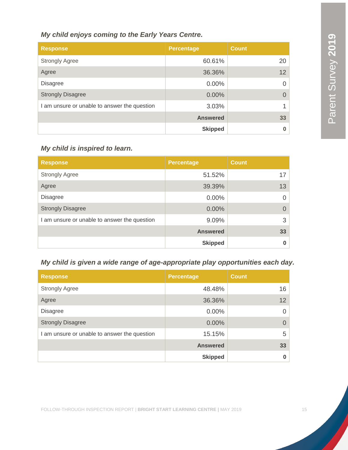| My child enjoys coming to the Early Years Centre. |                   |              |  |
|---------------------------------------------------|-------------------|--------------|--|
| <b>Response</b>                                   | <b>Percentage</b> | <b>Count</b> |  |
| <b>Strongly Agree</b>                             | 60.61%            | 20           |  |
| Agree                                             | 36.36%            | 12           |  |
| <b>Disagree</b>                                   | $0.00\%$          |              |  |
| <b>Strongly Disagree</b>                          | $0.00\%$          |              |  |
| am unsure or unable to answer the question        | 3.03%             |              |  |
|                                                   | <b>Answered</b>   | 33           |  |
|                                                   | <b>Skipped</b>    |              |  |

#### *My child is inspired to learn.*

| <b>Response</b>                              | <b>Percentage</b> | <b>Count</b> |
|----------------------------------------------|-------------------|--------------|
| <b>Strongly Agree</b>                        | 51.52%            | 17           |
| Agree                                        | 39.39%            | 13           |
| <b>Disagree</b>                              | 0.00%             |              |
| <b>Strongly Disagree</b>                     | 0.00%             | 0            |
| I am unsure or unable to answer the question | 9.09%             | 3            |
|                                              | <b>Answered</b>   | 33           |
|                                              | <b>Skipped</b>    |              |

#### *My child is given a wide range of age-appropriate play opportunities each day.*

| <b>Response</b>                              | <b>Percentage</b> | <b>Count</b> |
|----------------------------------------------|-------------------|--------------|
| <b>Strongly Agree</b>                        | 48.48%            | 16           |
| Agree                                        | 36.36%            | 12           |
| <b>Disagree</b>                              | $0.00\%$          | 0            |
| <b>Strongly Disagree</b>                     | $0.00\%$          | 0            |
| I am unsure or unable to answer the question | 15.15%            | 5            |
|                                              | <b>Answered</b>   | 33           |
|                                              | <b>Skipped</b>    | O            |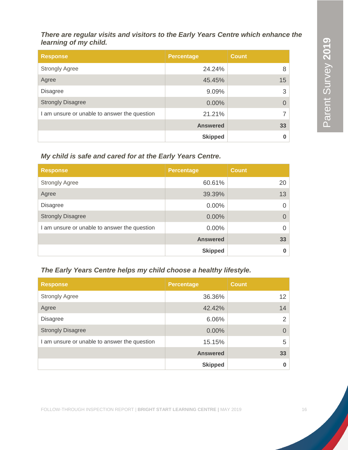*There are regular visits and visitors to the Early Years Centre which enhance the learning of my child.*

| <b>Response</b>                              | <b>Percentage</b> | <b>Count</b> |
|----------------------------------------------|-------------------|--------------|
| <b>Strongly Agree</b>                        | 24.24%            | 8            |
| Agree                                        | 45.45%            | 15           |
| <b>Disagree</b>                              | 9.09%             | 3            |
| <b>Strongly Disagree</b>                     | 0.00%             |              |
| I am unsure or unable to answer the question | 21.21%            |              |
|                                              | <b>Answered</b>   | 33           |
|                                              | <b>Skipped</b>    |              |

#### *My child is safe and cared for at the Early Years Centre.*

| <b>Response</b>                              | <b>Percentage</b> | <b>Count</b> |
|----------------------------------------------|-------------------|--------------|
| <b>Strongly Agree</b>                        | 60.61%            | 20           |
| Agree                                        | 39.39%            | 13           |
| <b>Disagree</b>                              | 0.00%             | 0            |
| <b>Strongly Disagree</b>                     | 0.00%             | O            |
| I am unsure or unable to answer the question | 0.00%             |              |
|                                              | <b>Answered</b>   | 33           |
|                                              | <b>Skipped</b>    |              |

#### *The Early Years Centre helps my child choose a healthy lifestyle.*

| <b>Response</b>                              | <b>Percentage</b> | <b>Count</b>      |
|----------------------------------------------|-------------------|-------------------|
| <b>Strongly Agree</b>                        | 36.36%            | $12 \overline{ }$ |
| Agree                                        | 42.42%            | 14                |
| <b>Disagree</b>                              | 6.06%             | 2                 |
| <b>Strongly Disagree</b>                     | $0.00\%$          | $\Omega$          |
| I am unsure or unable to answer the question | 15.15%            | 5                 |
|                                              | <b>Answered</b>   | 33                |
|                                              | <b>Skipped</b>    | $\bf{0}$          |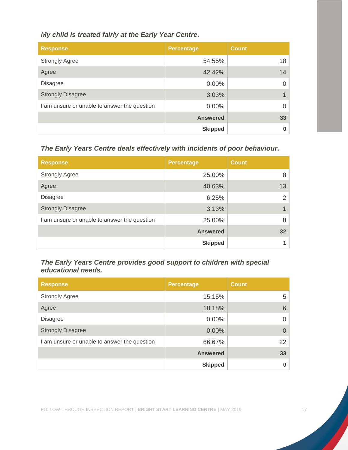#### *My child is treated fairly at the Early Year Centre.*

| <b>Response</b>                              | <b>Percentage</b> | <b>Count</b> |
|----------------------------------------------|-------------------|--------------|
| <b>Strongly Agree</b>                        | 54.55%            | 18           |
| Agree                                        | 42.42%            | 14           |
| <b>Disagree</b>                              | $0.00\%$          | 0            |
| <b>Strongly Disagree</b>                     | 3.03%             |              |
| I am unsure or unable to answer the question | $0.00\%$          | 0            |
|                                              | <b>Answered</b>   | 33           |
|                                              | <b>Skipped</b>    | $\bf{0}$     |

*The Early Years Centre deals effectively with incidents of poor behaviour.*

| <b>Response</b>                              | <b>Percentage</b> | <b>Count</b>    |
|----------------------------------------------|-------------------|-----------------|
| <b>Strongly Agree</b>                        | 25.00%            | 8               |
| Agree                                        | 40.63%            | 13              |
| <b>Disagree</b>                              | 6.25%             | 2               |
| <b>Strongly Disagree</b>                     | 3.13%             | 1               |
| I am unsure or unable to answer the question | 25.00%            | 8               |
|                                              | <b>Answered</b>   | 32 <sub>2</sub> |
|                                              | <b>Skipped</b>    |                 |

#### *The Early Years Centre provides good support to children with special educational needs.*

| <b>Response</b>                              | <b>Percentage</b> | <b>Count</b> |
|----------------------------------------------|-------------------|--------------|
| <b>Strongly Agree</b>                        | 15.15%            | 5            |
| Agree                                        | 18.18%            | 6            |
| <b>Disagree</b>                              | $0.00\%$          | <sup>0</sup> |
| <b>Strongly Disagree</b>                     | $0.00\%$          | $\Omega$     |
| I am unsure or unable to answer the question | 66.67%            | 22           |
|                                              | <b>Answered</b>   | 33           |
|                                              | <b>Skipped</b>    | 0            |

FOLLOW-THROUGH INSPECTION REPORT | **BRIGHT START LEARNING CENTRE |** MAY 2019 17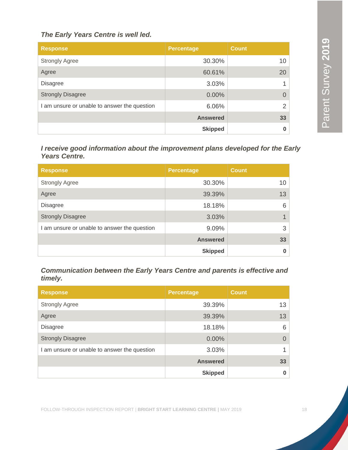#### *The Early Years Centre is well led.*

| <b>Response</b>                              | <b>Percentage</b> | <b>Count</b>    |
|----------------------------------------------|-------------------|-----------------|
| <b>Strongly Agree</b>                        | 30.30%            | 10 <sup>1</sup> |
| Agree                                        | 60.61%            | 20              |
| <b>Disagree</b>                              | 3.03%             |                 |
| <b>Strongly Disagree</b>                     | 0.00%             | 0               |
| I am unsure or unable to answer the question | 6.06%             | $\overline{2}$  |
|                                              | <b>Answered</b>   | 33 <sub>o</sub> |
|                                              | <b>Skipped</b>    | 0               |

*I receive good information about the improvement plans developed for the Early Years Centre.*

| <b>Response</b>                              | <b>Percentage</b> | <b>Count</b>    |
|----------------------------------------------|-------------------|-----------------|
| <b>Strongly Agree</b>                        | 30.30%            | 10 <sup>1</sup> |
| Agree                                        | 39.39%            | 13              |
| <b>Disagree</b>                              | 18.18%            | 6               |
| <b>Strongly Disagree</b>                     | 3.03%             |                 |
| I am unsure or unable to answer the question | 9.09%             | 3               |
|                                              | <b>Answered</b>   | 33              |
|                                              | <b>Skipped</b>    | $\bf{0}$        |

*Communication between the Early Years Centre and parents is effective and timely.*

| <b>Response</b>                              | <b>Percentage</b> | <b>Count</b> |
|----------------------------------------------|-------------------|--------------|
| <b>Strongly Agree</b>                        | 39.39%            | 13           |
| Agree                                        | 39.39%            | 13           |
| <b>Disagree</b>                              | 18.18%            | 6            |
| <b>Strongly Disagree</b>                     | 0.00%             | $\Omega$     |
| I am unsure or unable to answer the question | 3.03%             | 1            |
|                                              | <b>Answered</b>   | 33           |
|                                              | <b>Skipped</b>    | 0            |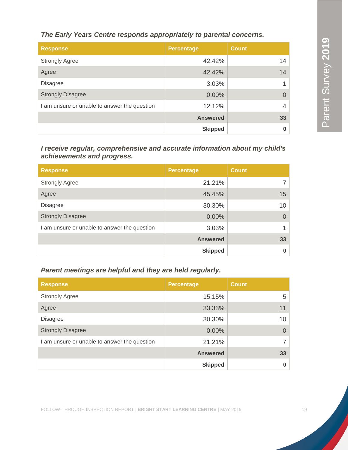*The Early Years Centre responds appropriately to parental concerns.*

| <b>Response</b>                              | <b>Percentage</b> | <b>Count</b> |
|----------------------------------------------|-------------------|--------------|
| <b>Strongly Agree</b>                        | 42.42%            | 14           |
| Agree                                        | 42.42%            | 14           |
| <b>Disagree</b>                              | 3.03%             |              |
| <b>Strongly Disagree</b>                     | 0.00%             | $\Omega$     |
| I am unsure or unable to answer the question | 12.12%            |              |
|                                              | <b>Answered</b>   | 33           |
|                                              | <b>Skipped</b>    |              |

*I receive regular, comprehensive and accurate information about my child's achievements and progress.*

| <b>Response</b>                              | <b>Percentage</b> | <b>Count</b> |
|----------------------------------------------|-------------------|--------------|
| <b>Strongly Agree</b>                        | 21.21%            | 7            |
| Agree                                        | 45.45%            | 15           |
| <b>Disagree</b>                              | 30.30%            | 10           |
| <b>Strongly Disagree</b>                     | 0.00%             | 0            |
| I am unsure or unable to answer the question | 3.03%             |              |
|                                              | <b>Answered</b>   | 33           |
|                                              | <b>Skipped</b>    | O            |

*Parent meetings are helpful and they are held regularly.*

| <b>Response</b>                              | <b>Percentage</b> | <b>Count</b> |
|----------------------------------------------|-------------------|--------------|
| <b>Strongly Agree</b>                        | 15.15%            | 5            |
| Agree                                        | 33.33%            | 11           |
| <b>Disagree</b>                              | 30.30%            | 10           |
| <b>Strongly Disagree</b>                     | $0.00\%$          | $\Omega$     |
| I am unsure or unable to answer the question | 21.21%            | 7            |
|                                              | <b>Answered</b>   | 33           |
|                                              | <b>Skipped</b>    | $\bf{0}$     |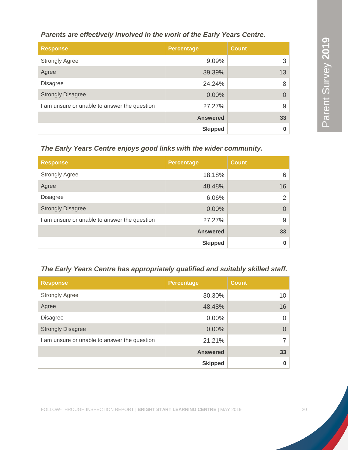#### *Parents are effectively involved in the work of the Early Years Centre.*

| <b>Response</b>                              | <b>Percentage</b> | <b>Count</b> |
|----------------------------------------------|-------------------|--------------|
| <b>Strongly Agree</b>                        | 9.09%             | 3            |
| Agree                                        | 39.39%            | 13           |
| <b>Disagree</b>                              | 24.24%            | 8            |
| <b>Strongly Disagree</b>                     | $0.00\%$          | $\Omega$     |
| I am unsure or unable to answer the question | 27.27%            | 9            |
|                                              | <b>Answered</b>   | 33           |
|                                              | <b>Skipped</b>    |              |

*The Early Years Centre enjoys good links with the wider community.*

| <b>Response</b>                              | <b>Percentage</b> | <b>Count</b>   |
|----------------------------------------------|-------------------|----------------|
| <b>Strongly Agree</b>                        | 18.18%            | 6              |
| Agree                                        | 48.48%            | 16             |
| <b>Disagree</b>                              | 6.06%             | 2              |
| <b>Strongly Disagree</b>                     | $0.00\%$          | $\overline{0}$ |
| I am unsure or unable to answer the question | 27.27%            | 9              |
|                                              | <b>Answered</b>   | 33             |
|                                              | <b>Skipped</b>    | $\bf{0}$       |

#### *The Early Years Centre has appropriately qualified and suitably skilled staff.*

| <b>Response</b>                              | <b>Percentage</b> | <b>Count</b>   |
|----------------------------------------------|-------------------|----------------|
| <b>Strongly Agree</b>                        | 30.30%            | 10             |
| Agree                                        | 48.48%            | 16             |
| <b>Disagree</b>                              | $0.00\%$          | $\overline{0}$ |
| <b>Strongly Disagree</b>                     | $0.00\%$          | $\Omega$       |
| I am unsure or unable to answer the question | 21.21%            | 7              |
|                                              | <b>Answered</b>   | 33             |
|                                              | <b>Skipped</b>    | 0              |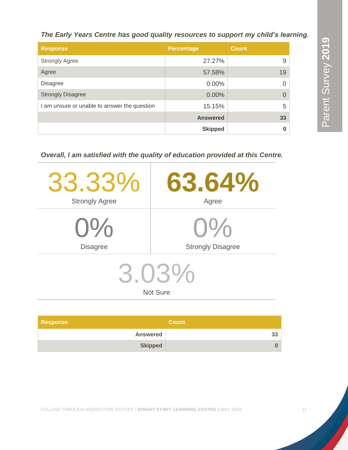Parent Survey 2019 Parent Survey **2019**

*The Early Years Centre has good quality resources to support my child's learning.* 

| <b>Response</b>                              | <b>Percentage</b> | <b>Count</b> |
|----------------------------------------------|-------------------|--------------|
| <b>Strongly Agree</b>                        | 27.27%            | 9            |
| Agree                                        | 57.58%            | 19           |
| <b>Disagree</b>                              | $0.00\%$          | $\Omega$     |
| <b>Strongly Disagree</b>                     | $0.00\%$          | $\Omega$     |
| I am unsure or unable to answer the question | 15.15%            | 5            |
|                                              | <b>Answered</b>   | 33           |
|                                              | <b>Skipped</b>    | $\bf{0}$     |

*Overall, I am satisfied with the quality of education provided at this Centre.*

| 33.33%                   | 63.64%                   |  |
|--------------------------|--------------------------|--|
| <b>Strongly Agree</b>    | Agree                    |  |
| $0\%$                    | $O\%$                    |  |
| <b>Disagree</b>          | <b>Strongly Disagree</b> |  |
| 3.03%<br><b>Not Sure</b> |                          |  |
|                          |                          |  |

| <b>Response</b> | <b>Count</b> |
|-----------------|--------------|
| <b>Answered</b> |              |
| <b>Skipped</b>  |              |

FOLLOW-THROUGH INSPECTION REPORT | **BRIGHT START LEARNING CENTRE |** MAY 2019 21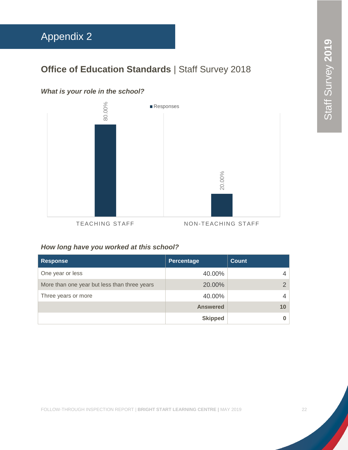### <span id="page-22-0"></span>Appendix 2

### **Office of Education Standards | Staff Survey 2018**

#### *What is your role in the school?*



#### *How long have you worked at this school?*

| <b>Response</b>                              | Percentage      | Count         |
|----------------------------------------------|-----------------|---------------|
| One year or less                             | 40.00%          | 4             |
| More than one year but less than three years | 20.00%          | $\mathcal{P}$ |
| Three years or more                          | 40.00%          |               |
|                                              | <b>Answered</b> | 10            |
|                                              | <b>Skipped</b>  |               |

FOLLOW-THROUGH INSPECTION REPORT | **BRIGHT START LEARNING CENTRE |** MAY 2019 22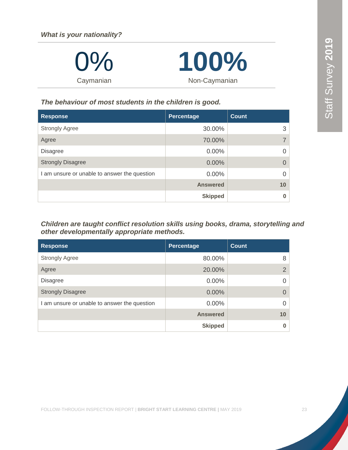| $0\%$     | 100%          |  |
|-----------|---------------|--|
| Caymanian | Non-Caymanian |  |

#### *The behaviour of most students in the children is good.*

| <b>Response</b>                              | Percentage      | <b>Count</b> |
|----------------------------------------------|-----------------|--------------|
| <b>Strongly Agree</b>                        | 30.00%          | 3            |
| Agree                                        | 70.00%          | 7            |
| <b>Disagree</b>                              | $0.00\%$        | $\Omega$     |
| <b>Strongly Disagree</b>                     | 0.00%           | $\Omega$     |
| I am unsure or unable to answer the question | $0.00\%$        | $\Omega$     |
|                                              | <b>Answered</b> | 10           |
|                                              | <b>Skipped</b>  | $\bf{0}$     |

#### *Children are taught conflict resolution skills using books, drama, storytelling and other developmentally appropriate methods.*

| <b>Response</b>                              | <b>Percentage</b> | <b>Count</b>  |
|----------------------------------------------|-------------------|---------------|
| <b>Strongly Agree</b>                        | 80.00%            | 8             |
| Agree                                        | 20.00%            | $\mathcal{P}$ |
| <b>Disagree</b>                              | 0.00%             |               |
| <b>Strongly Disagree</b>                     | 0.00%             | $\Omega$      |
| I am unsure or unable to answer the question | $0.00\%$          |               |
|                                              | <b>Answered</b>   | 10            |
|                                              | <b>Skipped</b>    |               |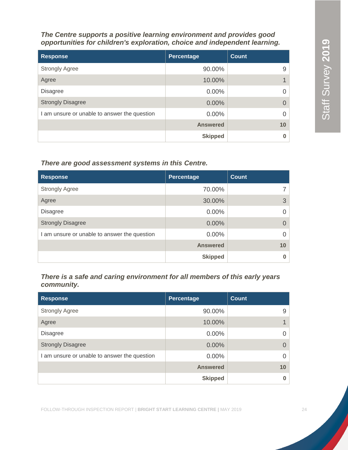*The Centre supports a positive learning environment and provides good opportunities for children's exploration, choice and independent learning.*

| <b>Response</b>                              | Percentage      | <b>Count</b> |
|----------------------------------------------|-----------------|--------------|
| <b>Strongly Agree</b>                        | 90.00%          | 9            |
| Agree                                        | 10.00%          |              |
| <b>Disagree</b>                              | 0.00%           |              |
| <b>Strongly Disagree</b>                     | 0.00%           |              |
| I am unsure or unable to answer the question | 0.00%           |              |
|                                              | <b>Answered</b> | 10           |
|                                              | <b>Skipped</b>  |              |

#### *There are good assessment systems in this Centre.*

| <b>Response</b>                              | Percentage      | <b>Count</b> |
|----------------------------------------------|-----------------|--------------|
| <b>Strongly Agree</b>                        | 70.00%          |              |
| Agree                                        | 30.00%          | 3            |
| <b>Disagree</b>                              | 0.00%           |              |
| <b>Strongly Disagree</b>                     | 0.00%           | $\Omega$     |
| I am unsure or unable to answer the question | $0.00\%$        |              |
|                                              | <b>Answered</b> | 10           |
|                                              | <b>Skipped</b>  |              |

*There is a safe and caring environment for all members of this early years community.*

| <b>Response</b>                              | Percentage      | Count    |
|----------------------------------------------|-----------------|----------|
| <b>Strongly Agree</b>                        | 90.00%          | 9        |
| Agree                                        | 10.00%          |          |
| <b>Disagree</b>                              | $0.00\%$        | $\Omega$ |
| <b>Strongly Disagree</b>                     | 0.00%           | $\Omega$ |
| I am unsure or unable to answer the question | $0.00\%$        | $\Omega$ |
|                                              | <b>Answered</b> | 10       |
|                                              | <b>Skipped</b>  | 0        |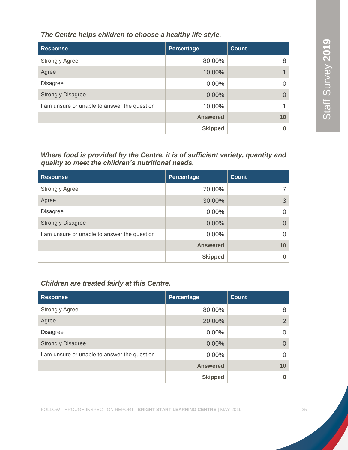*The Centre helps children to choose a healthy life style.*

| <b>Response</b>                              | Percentage      | <b>Count</b> |
|----------------------------------------------|-----------------|--------------|
| <b>Strongly Agree</b>                        | 80.00%          | 8            |
| Agree                                        | 10.00%          |              |
| <b>Disagree</b>                              | $0.00\%$        |              |
| <b>Strongly Disagree</b>                     | 0.00%           |              |
| I am unsure or unable to answer the question | 10.00%          |              |
|                                              | <b>Answered</b> | 10           |
|                                              | <b>Skipped</b>  |              |

#### *Where food is provided by the Centre, it is of sufficient variety, quantity and quality to meet the children's nutritional needs.*

| <b>Response</b>                              | Percentage      | <b>Count</b> |
|----------------------------------------------|-----------------|--------------|
| <b>Strongly Agree</b>                        | 70.00%          | 7            |
| Agree                                        | 30.00%          | 3            |
| <b>Disagree</b>                              | $0.00\%$        | $\Omega$     |
| <b>Strongly Disagree</b>                     | 0.00%           | $\Omega$     |
| I am unsure or unable to answer the question | $0.00\%$        | $\Omega$     |
|                                              | <b>Answered</b> | 10           |
|                                              | <b>Skipped</b>  | $\bf{0}$     |

#### *Children are treated fairly at this Centre.*

| <b>Response</b>                              | <b>Percentage</b> | <b>Count</b>   |
|----------------------------------------------|-------------------|----------------|
| <b>Strongly Agree</b>                        | 80.00%            | 8              |
| Agree                                        | 20.00%            | 2 <sup>1</sup> |
| <b>Disagree</b>                              | $0.00\%$          | 0              |
| <b>Strongly Disagree</b>                     | 0.00%             | $\Omega$       |
| I am unsure or unable to answer the question | 0.00%             | 0              |
|                                              | <b>Answered</b>   | 10             |
|                                              | <b>Skipped</b>    |                |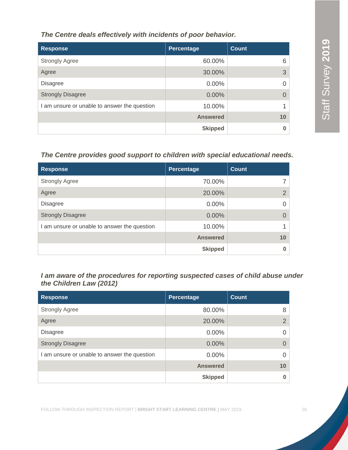#### *The Centre deals effectively with incidents of poor behavior.*

| <b>Response</b>                              | <b>Percentage</b> | <b>Count</b> |
|----------------------------------------------|-------------------|--------------|
| <b>Strongly Agree</b>                        | 60.00%            | 6            |
| Agree                                        | 30.00%            | 3            |
| <b>Disagree</b>                              | $0.00\%$          |              |
| <b>Strongly Disagree</b>                     | 0.00%             |              |
| I am unsure or unable to answer the question | 10.00%            |              |
|                                              | <b>Answered</b>   | 10           |
|                                              | <b>Skipped</b>    |              |

#### *The Centre provides good support to children with special educational needs.*

| <b>Response</b>                              | Percentage      | <b>Count</b> |
|----------------------------------------------|-----------------|--------------|
| <b>Strongly Agree</b>                        | 70.00%          |              |
| Agree                                        | 20.00%          | 2            |
| <b>Disagree</b>                              | 0.00%           | 0            |
| <b>Strongly Disagree</b>                     | 0.00%           |              |
| I am unsure or unable to answer the question | 10.00%          |              |
|                                              | <b>Answered</b> | 10           |
|                                              | <b>Skipped</b>  |              |

#### *I am aware of the procedures for reporting suspected cases of child abuse under the Children Law (2012)*

| <b>Response</b>                              | Percentage      | <b>Count</b>    |
|----------------------------------------------|-----------------|-----------------|
| <b>Strongly Agree</b>                        | 80.00%          | 8               |
| Agree                                        | 20.00%          | $\overline{2}$  |
| <b>Disagree</b>                              | $0.00\%$        | 0               |
| <b>Strongly Disagree</b>                     | 0.00%           | 0               |
| I am unsure or unable to answer the question | 0.00%           | 0               |
|                                              | <b>Answered</b> | 10 <sup>°</sup> |
|                                              | <b>Skipped</b>  | 0               |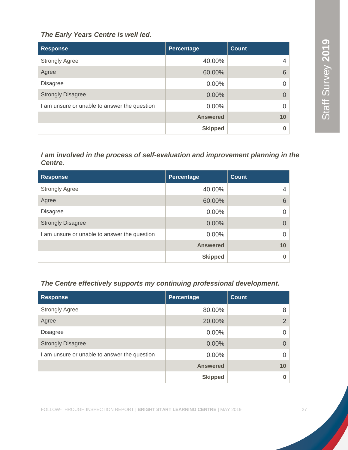#### *The Early Years Centre is well led.*

| <b>Response</b>                              | Percentage      | <b>Count</b> |
|----------------------------------------------|-----------------|--------------|
| <b>Strongly Agree</b>                        | 40.00%          | 4            |
| Agree                                        | 60.00%          | 6            |
| <b>Disagree</b>                              | $0.00\%$        |              |
| <b>Strongly Disagree</b>                     | $0.00\%$        | $\Omega$     |
| I am unsure or unable to answer the question | $0.00\%$        |              |
|                                              | <b>Answered</b> | 10           |
|                                              | <b>Skipped</b>  |              |

#### *I am involved in the process of self-evaluation and improvement planning in the Centre.*

| <b>Response</b>                              | <b>Percentage</b> | <b>Count</b> |
|----------------------------------------------|-------------------|--------------|
| <b>Strongly Agree</b>                        | 40.00%            | 4            |
| Agree                                        | 60.00%            | 6            |
| <b>Disagree</b>                              | $0.00\%$          |              |
| <b>Strongly Disagree</b>                     | 0.00%             |              |
| I am unsure or unable to answer the question | $0.00\%$          |              |
|                                              | <b>Answered</b>   | 10           |
|                                              | <b>Skipped</b>    |              |

#### *The Centre effectively supports my continuing professional development.*

| <b>Response</b>                              | Percentage      | Count          |
|----------------------------------------------|-----------------|----------------|
| <b>Strongly Agree</b>                        | 80.00%          | 8              |
| Agree                                        | 20.00%          | $\overline{2}$ |
| <b>Disagree</b>                              | $0.00\%$        | $\Omega$       |
| <b>Strongly Disagree</b>                     | $0.00\%$        | $\Omega$       |
| I am unsure or unable to answer the question | $0.00\%$        | $\Omega$       |
|                                              | <b>Answered</b> | 10             |
|                                              | <b>Skipped</b>  | $\bf{0}$       |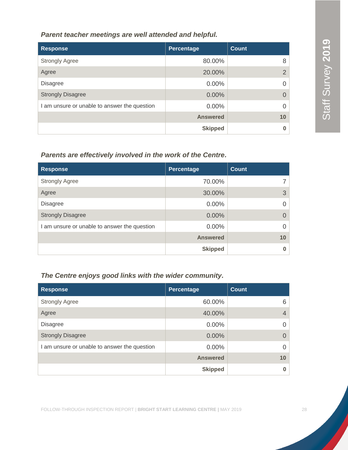#### *Parent teacher meetings are well attended and helpful.*

| <b>Response</b>                              | Percentage      | <b>Count</b>   |
|----------------------------------------------|-----------------|----------------|
| <b>Strongly Agree</b>                        | 80.00%          | 8              |
| Agree                                        | 20.00%          | $\overline{2}$ |
| <b>Disagree</b>                              | 0.00%           |                |
| <b>Strongly Disagree</b>                     | 0.00%           | 0              |
| I am unsure or unable to answer the question | 0.00%           |                |
|                                              | <b>Answered</b> | 10             |
|                                              | <b>Skipped</b>  |                |

#### *Parents are effectively involved in the work of the Centre.*

| <b>Response</b>                              | Percentage      | <b>Count</b> |
|----------------------------------------------|-----------------|--------------|
| <b>Strongly Agree</b>                        | 70.00%          |              |
| Agree                                        | 30.00%          | 3            |
| <b>Disagree</b>                              | 0.00%           | 0            |
| <b>Strongly Disagree</b>                     | 0.00%           | $\Omega$     |
| I am unsure or unable to answer the question | $0.00\%$        | 0            |
|                                              | <b>Answered</b> | 10           |
|                                              | <b>Skipped</b>  | 0            |

#### *The Centre enjoys good links with the wider community.*

| <b>Response</b>                              | Percentage      | <b>Count</b>   |
|----------------------------------------------|-----------------|----------------|
| <b>Strongly Agree</b>                        | 60.00%          | 6              |
| Agree                                        | 40.00%          | $\overline{4}$ |
| <b>Disagree</b>                              | $0.00\%$        | $\Omega$       |
| <b>Strongly Disagree</b>                     | 0.00%           | $\Omega$       |
| I am unsure or unable to answer the question | $0.00\%$        | $\Omega$       |
|                                              | <b>Answered</b> | 10             |
|                                              | <b>Skipped</b>  | 0              |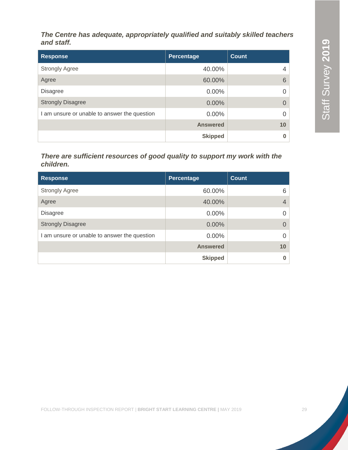*The Centre has adequate, appropriately qualified and suitably skilled teachers and staff.*

| <b>Response</b>                              | Percentage      | <b>Count</b> |
|----------------------------------------------|-----------------|--------------|
| <b>Strongly Agree</b>                        | 40.00%          | 4            |
| Agree                                        | 60.00%          | 6            |
| <b>Disagree</b>                              | 0.00%           | 0            |
| <b>Strongly Disagree</b>                     | 0.00%           |              |
| I am unsure or unable to answer the question | 0.00%           | 0            |
|                                              | <b>Answered</b> | 10           |
|                                              | <b>Skipped</b>  |              |

#### *There are sufficient resources of good quality to support my work with the children.*

| <b>Response</b>                              | Percentage      | <b>Count</b>   |
|----------------------------------------------|-----------------|----------------|
| <b>Strongly Agree</b>                        | 60.00%          | 6              |
| Agree                                        | 40.00%          | $\overline{4}$ |
| <b>Disagree</b>                              | $0.00\%$        | $\Omega$       |
| <b>Strongly Disagree</b>                     | $0.00\%$        | $\Omega$       |
| I am unsure or unable to answer the question | $0.00\%$        | $\Omega$       |
|                                              | <b>Answered</b> | 10             |
|                                              | <b>Skipped</b>  | 0              |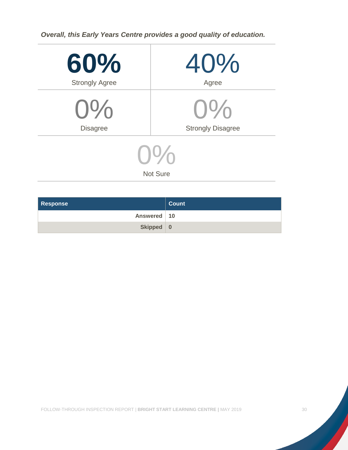*Overall, this Early Years Centre provides a good quality of education.*

| 60%                   | 40%                      |  |  |
|-----------------------|--------------------------|--|--|
| <b>Strongly Agree</b> | Agree                    |  |  |
| $0\%$                 | $U\%$                    |  |  |
| <b>Disagree</b>       | <b>Strongly Disagree</b> |  |  |
| $U\sqrt{2}$           |                          |  |  |
|                       | <b>Not Sure</b>          |  |  |

| <b>Response</b> | <b>Count</b> |
|-----------------|--------------|
| Answered   10   |              |
| Skipped 0       |              |